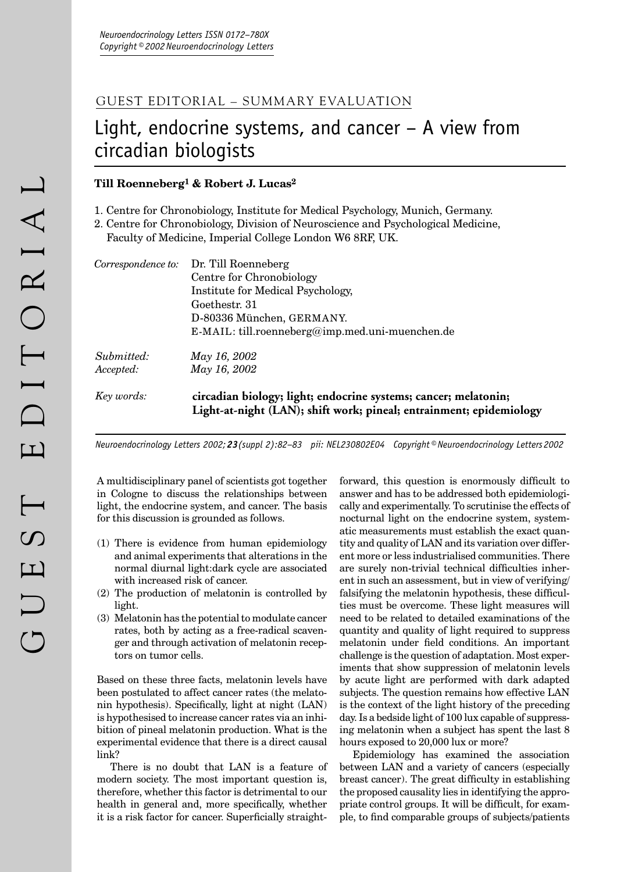## GUEST EDITORIAL – SUMMARY EVALUATION

## Light, endocrine systems, and cancer – A view from circadian biologists

## **Till Roenneberg1 & Robert J. Lucas2**

- 1. Centre for Chronobiology, Institute for Medical Psychology, Munich, Germany.
- 2. Centre for Chronobiology, Division of Neuroscience and Psychological Medicine,
	- Faculty of Medicine, Imperial College London W6 8RF, UK.

| Key words:         | circadian biology; light; endocrine systems; cancer; melatonin;<br>Light-at-night (LAN); shift work; pineal; entrainment; epidemiology |
|--------------------|----------------------------------------------------------------------------------------------------------------------------------------|
| Accepted:          | May 16, 2002                                                                                                                           |
| Submitted:         | May 16, 2002                                                                                                                           |
|                    | $E-MAIL: till roenneberg@imp med.uni-muenchen.de$                                                                                      |
|                    | D-80336 München, GERMANY.                                                                                                              |
|                    | Goethestr. 31                                                                                                                          |
|                    | Institute for Medical Psychology,                                                                                                      |
|                    | Centre for Chronobiology                                                                                                               |
| Correspondence to: | Dr. Till Roenneberg                                                                                                                    |

*Neuroendocrinology Letters 2002; 23(suppl 2):82–83 pii: NEL230802E04 Copyright © Neuroendocrinology Letters 2002*

A multidisciplinary panel of scientists got together in Cologne to discuss the relationships between light, the endocrine system, and cancer. The basis for this discussion is grounded as follows.

- (1) There is evidence from human epidemiology and animal experiments that alterations in the normal diurnal light:dark cycle are associated with increased risk of cancer.
- (2) The production of melatonin is controlled by light.
- (3) Melatonin has the potential to modulate cancer rates, both by acting as a free-radical scavenger and through activation of melatonin receptors on tumor cells.

Based on these three facts, melatonin levels have been postulated to affect cancer rates (the melatonin hypothesis). Specifically, light at night (LAN) is hypothesised to increase cancer rates via an inhibition of pineal melatonin production. What is the experimental evidence that there is a direct causal link?

There is no doubt that LAN is a feature of modern society. The most important question is, therefore, whether this factor is detrimental to our health in general and, more specifically, whether it is a risk factor for cancer. Superficially straightforward, this question is enormously difficult to answer and has to be addressed both epidemiologically and experimentally. To scrutinise the effects of nocturnal light on the endocrine system, systematic measurements must establish the exact quantity and quality of LAN and its variation over different more or less industrialised communities. There are surely non-trivial technical difficulties inherent in such an assessment, but in view of verifying/ falsifying the melatonin hypothesis, these difficulties must be overcome. These light measures will need to be related to detailed examinations of the quantity and quality of light required to suppress melatonin under field conditions. An important challenge is the question of adaptation. Most experiments that show suppression of melatonin levels by acute light are performed with dark adapted subjects. The question remains how effective LAN is the context of the light history of the preceding day. Is a bedside light of 100 lux capable of suppressing melatonin when a subject has spent the last 8 hours exposed to 20,000 lux or more?

Epidemiology has examined the association between LAN and a variety of cancers (especially breast cancer). The great difficulty in establishing the proposed causality lies in identifying the appropriate control groups. It will be difficult, for example, to find comparable groups of subjects/patients